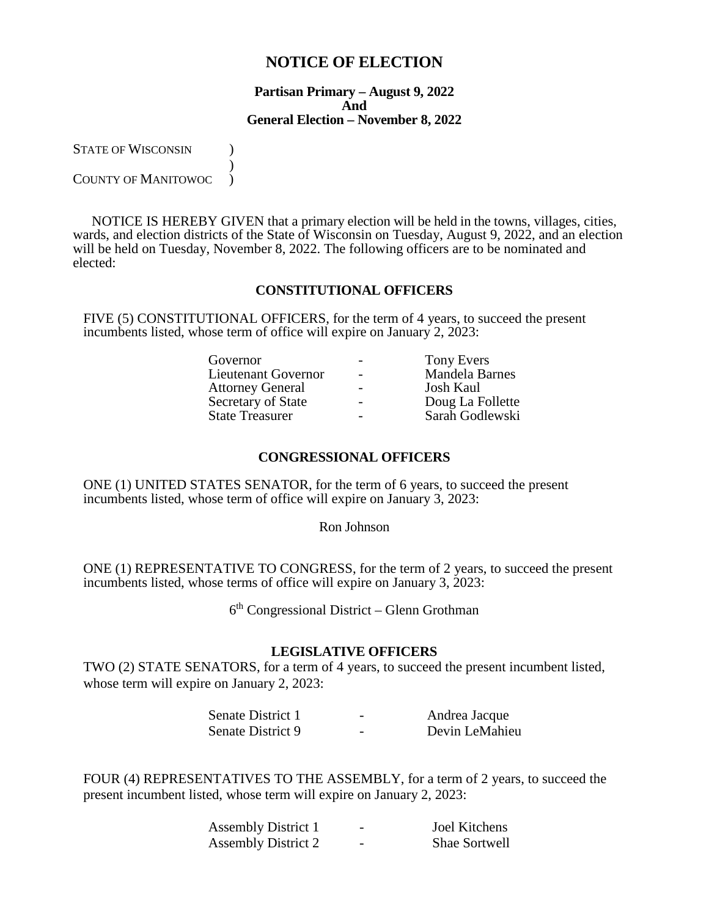# **NOTICE OF ELECTION**

#### **Partisan Primary – August 9, 2022 And General Election – November 8, 2022**

STATE OF WISCONSIN (1)

 $\overline{\phantom{a}}$ COUNTY OF MANITOWOC )

NOTICE IS HEREBY GIVEN that a primary election will be held in the towns, villages, cities, wards, and election districts of the State of Wisconsin on Tuesday, August 9, 2022, and an election will be held on Tuesday, November 8, 2022. The following officers are to be nominated and elected:

# **CONSTITUTIONAL OFFICERS**

FIVE (5) CONSTITUTIONAL OFFICERS, for the term of 4 years, to succeed the present incumbents listed, whose term of office will expire on January 2, 2023:

| Governor                   |                          | <b>Tony Evers</b>     |
|----------------------------|--------------------------|-----------------------|
| <b>Lieutenant Governor</b> |                          | <b>Mandela Barnes</b> |
| <b>Attorney General</b>    |                          | <b>Josh Kaul</b>      |
| Secretary of State         | $\overline{\phantom{0}}$ | Doug La Follette      |
| <b>State Treasurer</b>     | $\overline{\phantom{0}}$ | Sarah Godlewski       |
|                            |                          |                       |

#### **CONGRESSIONAL OFFICERS**

ONE (1) UNITED STATES SENATOR, for the term of 6 years, to succeed the present incumbents listed, whose term of office will expire on January 3, 2023:

Ron Johnson

ONE (1) REPRESENTATIVE TO CONGRESS, for the term of 2 years, to succeed the present incumbents listed, whose terms of office will expire on January 3, 2023:

 $6<sup>th</sup>$  Congressional District – Glenn Grothman

#### **LEGISLATIVE OFFICERS**

TWO (2) STATE SENATORS, for a term of 4 years, to succeed the present incumbent listed, whose term will expire on January 2, 2023:

| Senate District 1 | - | Andrea Jacque  |
|-------------------|---|----------------|
| Senate District 9 | - | Devin LeMahieu |

FOUR (4) REPRESENTATIVES TO THE ASSEMBLY, for a term of 2 years, to succeed the present incumbent listed, whose term will expire on January 2, 2023:

| <b>Assembly District 1</b> | <b>Joel Kitchens</b> |
|----------------------------|----------------------|
| <b>Assembly District 2</b> | Shae Sortwell        |